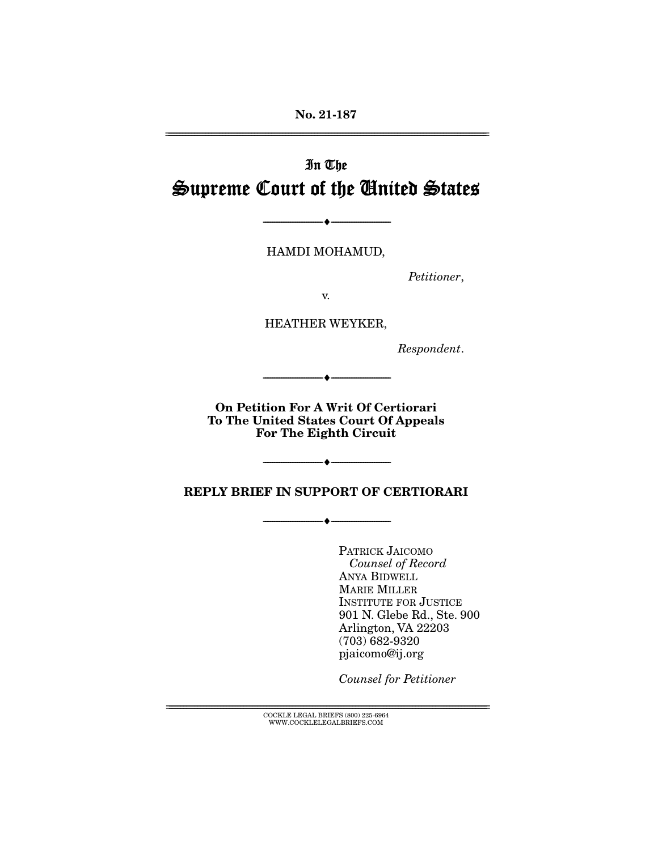**No. 21-187**  ================================================================================================================

# In The Supreme Court of the United States

HAMDI MOHAMUD,

--------------------------------- ♦ ---------------------------------

Petitioner,

v.

HEATHER WEYKER,

Respondent.

**On Petition For A Writ Of Certiorari To The United States Court Of Appeals For The Eighth Circuit** 

--------------------------------- ♦ ---------------------------------

--------------------------------- ♦ ---------------------------------

**REPLY BRIEF IN SUPPORT OF CERTIORARI** 

--------------------------------- ♦ ---------------------------------

PATRICK JAICOMO Counsel of Record ANYA BIDWELL MARIE MILLER INSTITUTE FOR JUSTICE 901 N. Glebe Rd., Ste. 900 Arlington, VA 22203 (703) 682-9320 pjaicomo@ij.org

Counsel for Petitioner

 $\text{COCKLE LEGAL BRIEFS}$  (800) 225-6964 WWW.COCKLELEGALBRIEFS.COM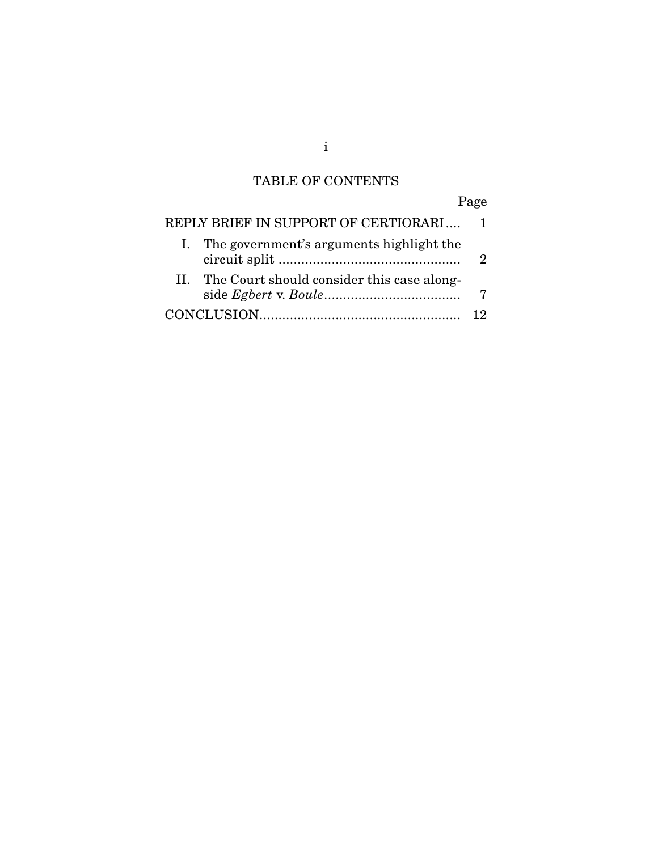# TABLE OF CONTENTS

# Page

| REPLY BRIEF IN SUPPORT OF CERTIORARI 1         |  |  |  |  |  |  |
|------------------------------------------------|--|--|--|--|--|--|
| I. The government's arguments highlight the    |  |  |  |  |  |  |
| II. The Court should consider this case along- |  |  |  |  |  |  |
|                                                |  |  |  |  |  |  |

i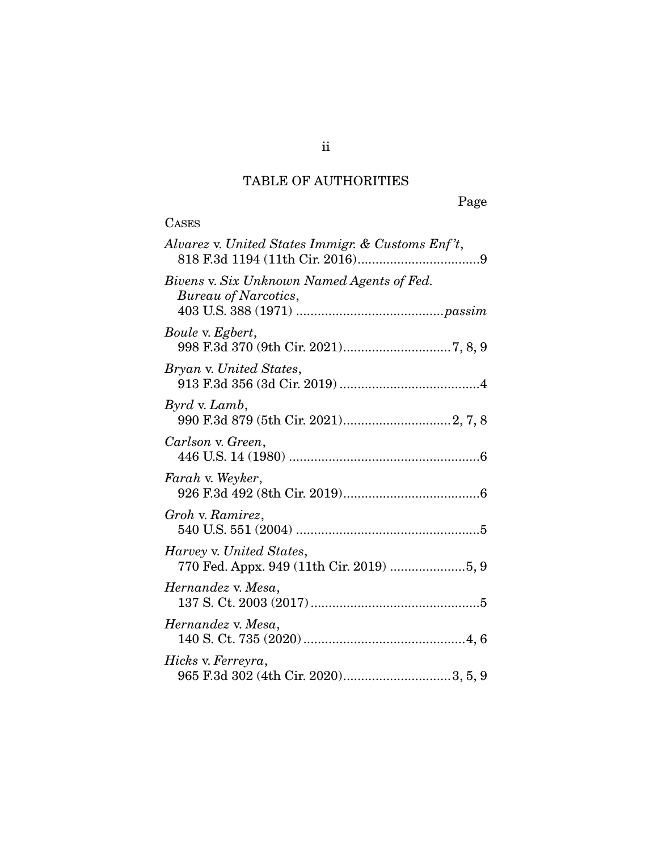# TABLE OF AUTHORITIES

Page

| <b>CASES</b>                                                         |
|----------------------------------------------------------------------|
| Alvarez v. United States Immigr. & Customs Enf't,                    |
| Bivens v. Six Unknown Named Agents of Fed.<br>Bureau of Narcotics,   |
| Boule v. Egbert,                                                     |
| Bryan v. United States,                                              |
| <i>Byrd v. Lamb,</i>                                                 |
| Carlson v. Green,                                                    |
| Farah v. Weyker,                                                     |
| Groh v. Ramirez,                                                     |
| Harvey v. United States,<br>770 Fed. Appx. 949 (11th Cir. 2019) 5, 9 |
| Hernandez v. Mesa,                                                   |
| Hernandez v. Mesa,                                                   |
| Hicks v. Ferreyra,                                                   |

ii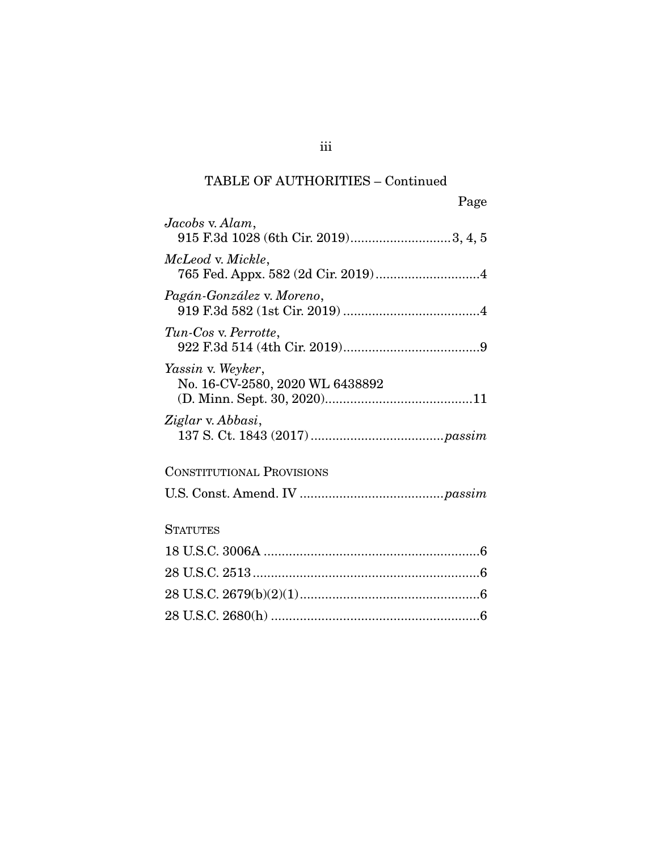### TABLE OF AUTHORITIES – Continued

| Page                                                    |
|---------------------------------------------------------|
| Jacobs v. Alam,<br>915 F.3d 1028 (6th Cir. 2019)3, 4, 5 |
| McLeod v. Mickle,                                       |
| Pagán-González v. Moreno,                               |
| Tun-Cos v. Perrotte,                                    |
| Yassin v. Weyker,<br>No. 16-CV-2580, 2020 WL 6438892    |
| Ziglar v. Abbasi,                                       |
| <b>CONSTITUTIONAL PROVISIONS</b>                        |
|                                                         |
| <b>STATUTES</b>                                         |
|                                                         |
|                                                         |
|                                                         |
|                                                         |

iii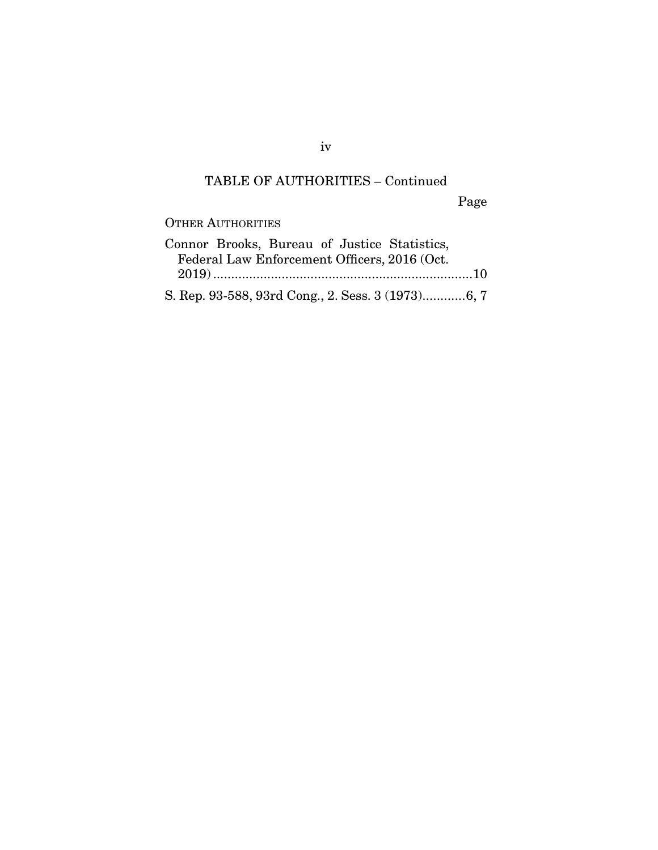### TABLE OF AUTHORITIES – Continued

Page

### OTHER AUTHORITIES

|  |  | Connor Brooks, Bureau of Justice Statistics,      |  |
|--|--|---------------------------------------------------|--|
|  |  | Federal Law Enforcement Officers, 2016 (Oct.      |  |
|  |  |                                                   |  |
|  |  | S. Rep. 93-588, 93rd Cong., 2. Sess. 3 (1973)6, 7 |  |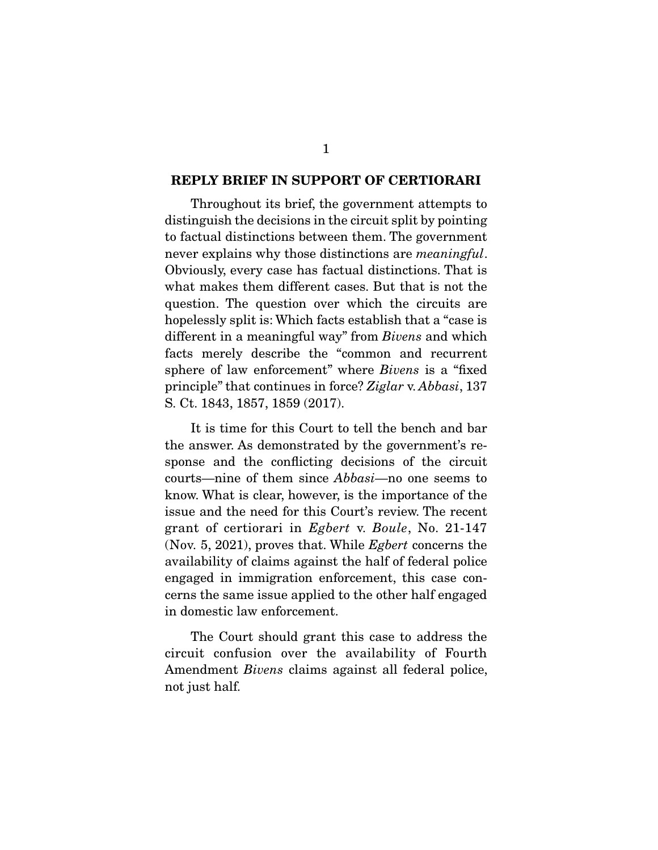#### **REPLY BRIEF IN SUPPORT OF CERTIORARI**

 Throughout its brief, the government attempts to distinguish the decisions in the circuit split by pointing to factual distinctions between them. The government never explains why those distinctions are *meaningful*. Obviously, every case has factual distinctions. That is what makes them different cases. But that is not the question. The question over which the circuits are hopelessly split is: Which facts establish that a "case is different in a meaningful way" from *Bivens* and which facts merely describe the "common and recurrent sphere of law enforcement" where *Bivens* is a "fixed principle" that continues in force? *Ziglar* v. *Abbasi*, 137 S. Ct. 1843, 1857, 1859 (2017).

 It is time for this Court to tell the bench and bar the answer. As demonstrated by the government's response and the conflicting decisions of the circuit courts—nine of them since *Abbasi*—no one seems to know. What is clear, however, is the importance of the issue and the need for this Court's review. The recent grant of certiorari in *Egbert* v. *Boule*, No. 21-147 (Nov. 5, 2021), proves that. While *Egbert* concerns the availability of claims against the half of federal police engaged in immigration enforcement, this case concerns the same issue applied to the other half engaged in domestic law enforcement.

 The Court should grant this case to address the circuit confusion over the availability of Fourth Amendment *Bivens* claims against all federal police, not just half.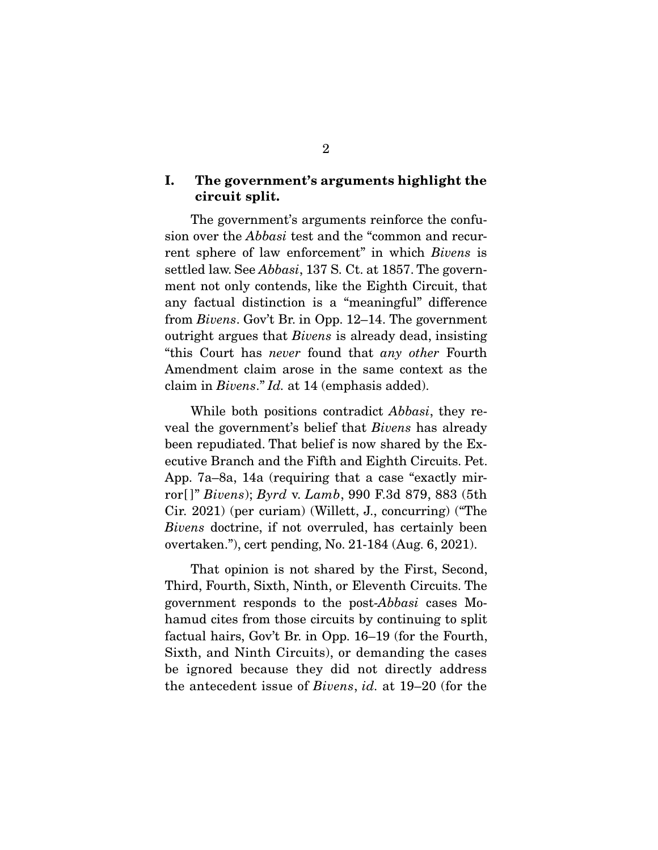#### **I. The government's arguments highlight the circuit split.**

 The government's arguments reinforce the confusion over the *Abbasi* test and the "common and recurrent sphere of law enforcement" in which *Bivens* is settled law. See *Abbasi*, 137 S. Ct. at 1857. The government not only contends, like the Eighth Circuit, that any factual distinction is a "meaningful" difference from *Bivens*. Gov't Br. in Opp. 12–14. The government outright argues that *Bivens* is already dead, insisting "this Court has *never* found that *any other* Fourth Amendment claim arose in the same context as the claim in *Bivens*." *Id.* at 14 (emphasis added).

 While both positions contradict *Abbasi*, they reveal the government's belief that *Bivens* has already been repudiated. That belief is now shared by the Executive Branch and the Fifth and Eighth Circuits. Pet. App. 7a–8a, 14a (requiring that a case "exactly mirror[ ]" *Bivens*); *Byrd* v. *Lamb*, 990 F.3d 879, 883 (5th Cir. 2021) (per curiam) (Willett, J., concurring) ("The *Bivens* doctrine, if not overruled, has certainly been overtaken."), cert pending, No. 21-184 (Aug. 6, 2021).

 That opinion is not shared by the First, Second, Third, Fourth, Sixth, Ninth, or Eleventh Circuits. The government responds to the post-*Abbasi* cases Mohamud cites from those circuits by continuing to split factual hairs, Gov't Br. in Opp. 16–19 (for the Fourth, Sixth, and Ninth Circuits), or demanding the cases be ignored because they did not directly address the antecedent issue of *Bivens*, *id.* at 19–20 (for the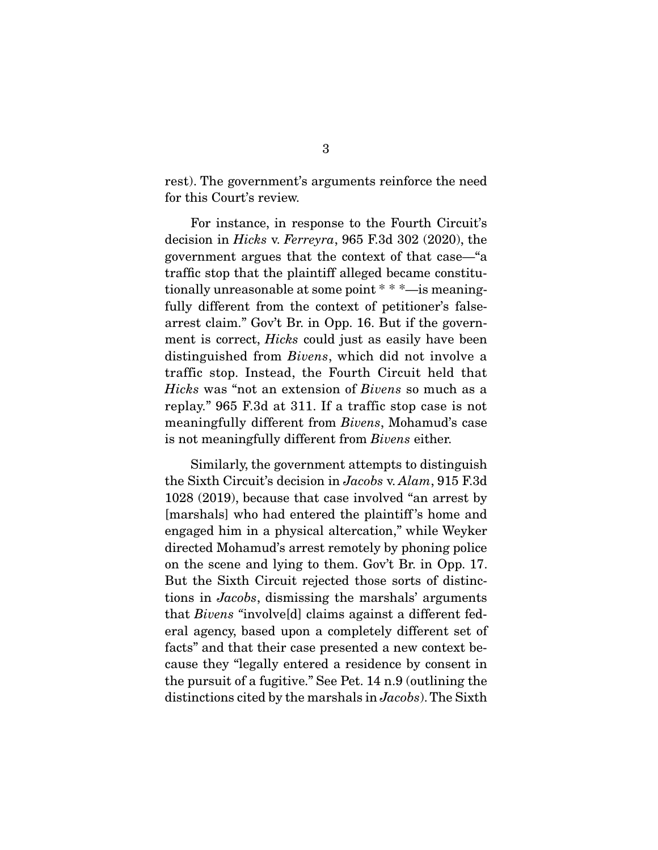rest). The government's arguments reinforce the need for this Court's review.

 For instance, in response to the Fourth Circuit's decision in *Hicks* v. *Ferreyra*, 965 F.3d 302 (2020), the government argues that the context of that case—"a traffic stop that the plaintiff alleged became constitutionally unreasonable at some point \* \* \*—is meaningfully different from the context of petitioner's falsearrest claim." Gov't Br. in Opp. 16. But if the government is correct, *Hicks* could just as easily have been distinguished from *Bivens*, which did not involve a traffic stop. Instead, the Fourth Circuit held that *Hicks* was "not an extension of *Bivens* so much as a replay." 965 F.3d at 311. If a traffic stop case is not meaningfully different from *Bivens*, Mohamud's case is not meaningfully different from *Bivens* either.

 Similarly, the government attempts to distinguish the Sixth Circuit's decision in *Jacobs* v. *Alam*, 915 F.3d 1028 (2019), because that case involved "an arrest by [marshals] who had entered the plaintiff 's home and engaged him in a physical altercation," while Weyker directed Mohamud's arrest remotely by phoning police on the scene and lying to them. Gov't Br. in Opp. 17. But the Sixth Circuit rejected those sorts of distinctions in *Jacobs*, dismissing the marshals' arguments that *Bivens "*involve[d] claims against a different federal agency, based upon a completely different set of facts" and that their case presented a new context because they "legally entered a residence by consent in the pursuit of a fugitive." See Pet. 14 n.9 (outlining the distinctions cited by the marshals in *Jacobs*). The Sixth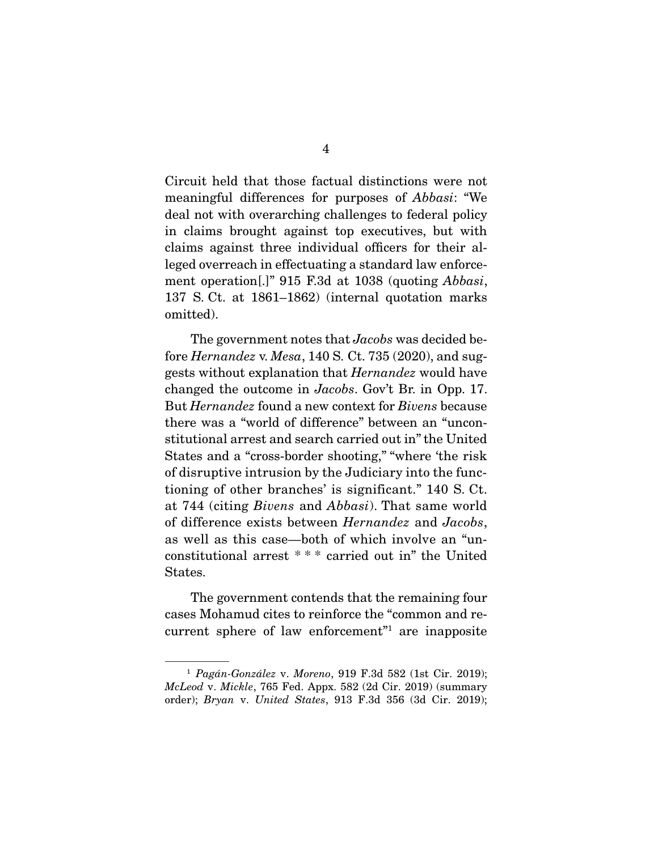Circuit held that those factual distinctions were not meaningful differences for purposes of *Abbasi*: "We deal not with overarching challenges to federal policy in claims brought against top executives, but with claims against three individual officers for their alleged overreach in effectuating a standard law enforcement operation[.]" 915 F.3d at 1038 (quoting *Abbasi*, 137 S. Ct. at 1861–1862) (internal quotation marks omitted).

 The government notes that *Jacobs* was decided before *Hernandez* v. *Mesa*, 140 S. Ct. 735 (2020), and suggests without explanation that *Hernandez* would have changed the outcome in *Jacobs*. Gov't Br. in Opp. 17. But *Hernandez* found a new context for *Bivens* because there was a "world of difference" between an "unconstitutional arrest and search carried out in" the United States and a "cross-border shooting," "where 'the risk of disruptive intrusion by the Judiciary into the functioning of other branches' is significant." 140 S. Ct. at 744 (citing *Bivens* and *Abbasi*). That same world of difference exists between *Hernandez* and *Jacobs*, as well as this case—both of which involve an "unconstitutional arrest \* \* \* carried out in" the United States.

 The government contends that the remaining four cases Mohamud cites to reinforce the "common and recurrent sphere of law enforcement"1 are inapposite

<sup>1</sup> *Pagán-González* v. *Moreno*, 919 F.3d 582 (1st Cir. 2019); *McLeod* v. *Mickle*, 765 Fed. Appx. 582 (2d Cir. 2019) (summary order); *Bryan* v. *United States*, 913 F.3d 356 (3d Cir. 2019);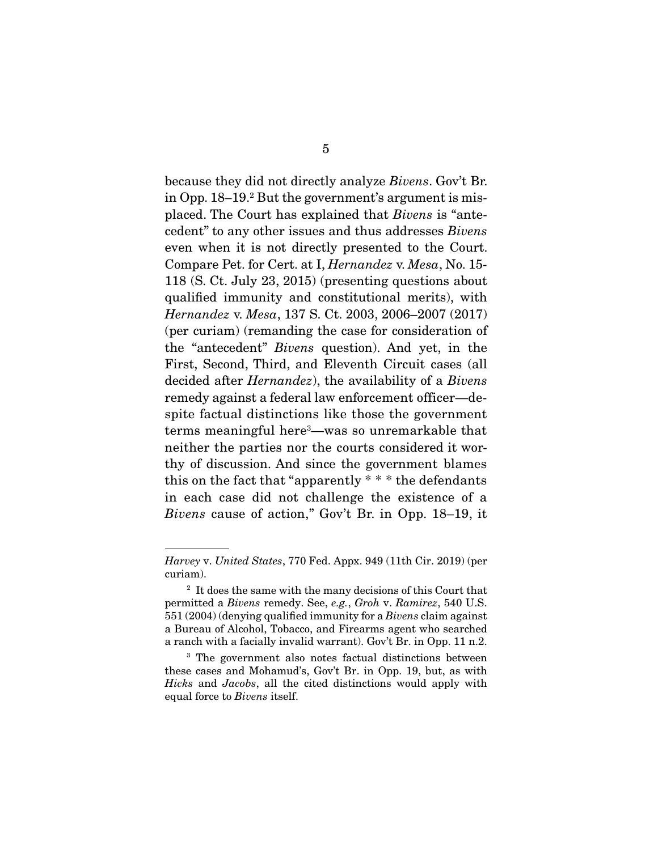because they did not directly analyze *Bivens*. Gov't Br. in Opp. 18–19.2 But the government's argument is misplaced. The Court has explained that *Bivens* is "antecedent" to any other issues and thus addresses *Bivens*  even when it is not directly presented to the Court. Compare Pet. for Cert. at I, *Hernandez* v. *Mesa*, No. 15- 118 (S. Ct. July 23, 2015) (presenting questions about qualified immunity and constitutional merits), with *Hernandez* v. *Mesa*, 137 S. Ct. 2003, 2006–2007 (2017) (per curiam) (remanding the case for consideration of the "antecedent" *Bivens* question). And yet, in the First, Second, Third, and Eleventh Circuit cases (all decided after *Hernandez*), the availability of a *Bivens*  remedy against a federal law enforcement officer—despite factual distinctions like those the government terms meaningful here3 —was so unremarkable that neither the parties nor the courts considered it worthy of discussion. And since the government blames this on the fact that "apparently  $* * *$  the defendants" in each case did not challenge the existence of a *Bivens* cause of action," Gov't Br. in Opp. 18–19, it

*Harvey* v. *United States*, 770 Fed. Appx. 949 (11th Cir. 2019) (per curiam).

<sup>&</sup>lt;sup>2</sup> It does the same with the many decisions of this Court that permitted a *Bivens* remedy. See, *e.g.*, *Groh* v. *Ramirez*, 540 U.S. 551 (2004) (denying qualified immunity for a *Bivens* claim against a Bureau of Alcohol, Tobacco, and Firearms agent who searched a ranch with a facially invalid warrant). Gov't Br. in Opp. 11 n.2.

<sup>3</sup> The government also notes factual distinctions between these cases and Mohamud's, Gov't Br. in Opp. 19, but, as with *Hicks* and *Jacobs*, all the cited distinctions would apply with equal force to *Bivens* itself.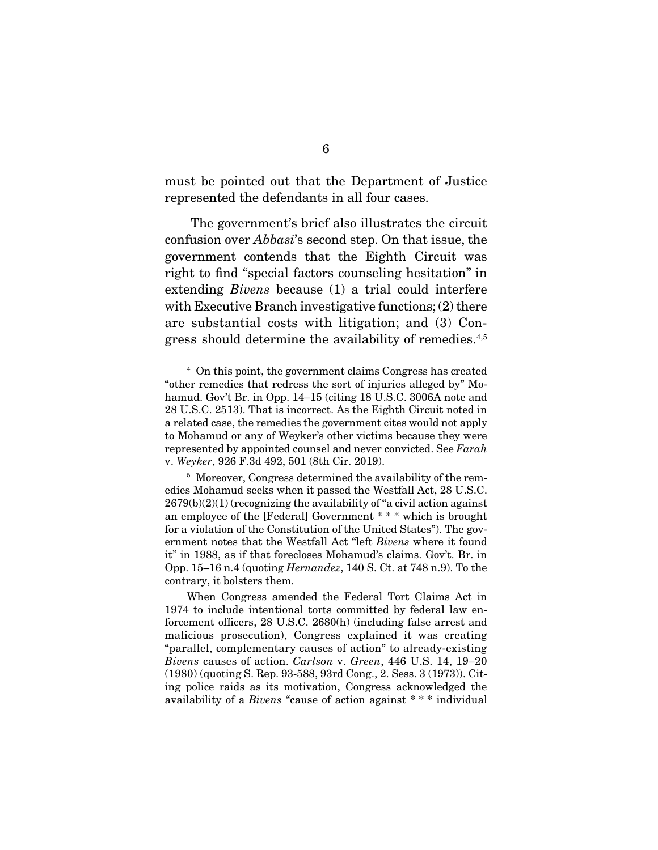must be pointed out that the Department of Justice represented the defendants in all four cases.

 The government's brief also illustrates the circuit confusion over *Abbasi*'s second step. On that issue, the government contends that the Eighth Circuit was right to find "special factors counseling hesitation" in extending *Bivens* because (1) a trial could interfere with Executive Branch investigative functions; (2) there are substantial costs with litigation; and (3) Congress should determine the availability of remedies.4,5

<sup>4</sup> On this point, the government claims Congress has created "other remedies that redress the sort of injuries alleged by" Mohamud. Gov't Br. in Opp. 14–15 (citing 18 U.S.C. 3006A note and 28 U.S.C. 2513). That is incorrect. As the Eighth Circuit noted in a related case, the remedies the government cites would not apply to Mohamud or any of Weyker's other victims because they were represented by appointed counsel and never convicted. See *Farah*  v. *Weyker*, 926 F.3d 492, 501 (8th Cir. 2019).

<sup>&</sup>lt;sup>5</sup> Moreover, Congress determined the availability of the remedies Mohamud seeks when it passed the Westfall Act, 28 U.S.C.  $2679(b)(2)(1)$  (recognizing the availability of "a civil action against an employee of the [Federal] Government \* \* \* which is brought for a violation of the Constitution of the United States"). The government notes that the Westfall Act "left *Bivens* where it found it" in 1988, as if that forecloses Mohamud's claims. Gov't. Br. in Opp. 15–16 n.4 (quoting *Hernandez*, 140 S. Ct. at 748 n.9). To the contrary, it bolsters them.

When Congress amended the Federal Tort Claims Act in 1974 to include intentional torts committed by federal law enforcement officers, 28 U.S.C. 2680(h) (including false arrest and malicious prosecution), Congress explained it was creating "parallel, complementary causes of action" to already-existing *Bivens* causes of action. *Carlson* v. *Green*, 446 U.S. 14, 19–20 (1980) (quoting S. Rep. 93-588, 93rd Cong., 2. Sess. 3 (1973)). Citing police raids as its motivation, Congress acknowledged the availability of a *Bivens* "cause of action against \* \* \* individual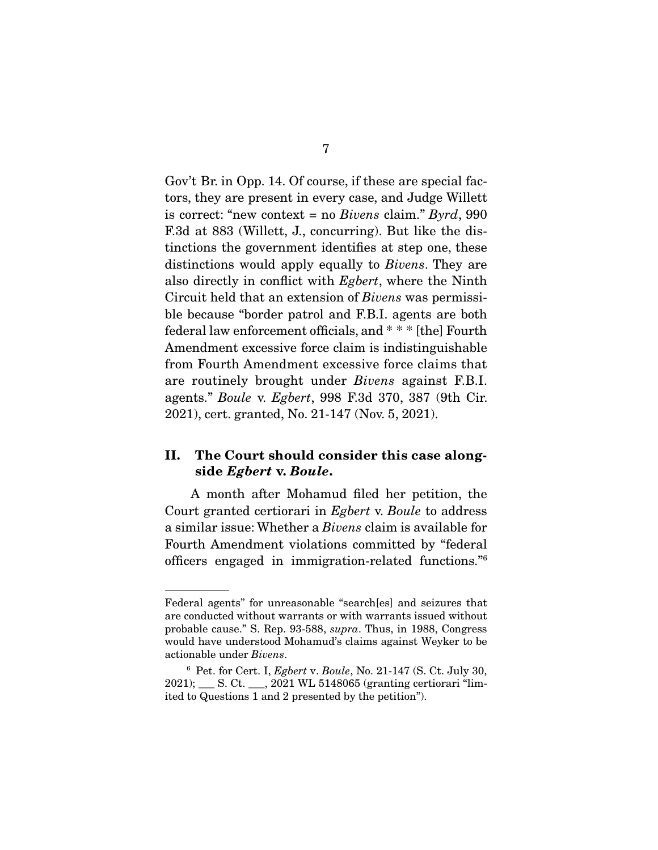Gov't Br. in Opp. 14. Of course, if these are special factors, they are present in every case, and Judge Willett is correct: "new context = no *Bivens* claim." *Byrd*, 990 F.3d at 883 (Willett, J., concurring). But like the distinctions the government identifies at step one, these distinctions would apply equally to *Bivens*. They are also directly in conflict with *Egbert*, where the Ninth Circuit held that an extension of *Bivens* was permissible because "border patrol and F.B.I. agents are both federal law enforcement officials, and \* \* \* [the] Fourth Amendment excessive force claim is indistinguishable from Fourth Amendment excessive force claims that are routinely brought under *Bivens* against F.B.I. agents." *Boule* v. *Egbert*, 998 F.3d 370, 387 (9th Cir. 2021), cert. granted, No. 21-147 (Nov. 5, 2021).

### **II. The Court should consider this case alongside** *Egbert* **v.** *Boule***.**

 A month after Mohamud filed her petition, the Court granted certiorari in *Egbert* v. *Boule* to address a similar issue: Whether a *Bivens* claim is available for Fourth Amendment violations committed by "federal officers engaged in immigration-related functions."6

Federal agents" for unreasonable "search[es] and seizures that are conducted without warrants or with warrants issued without probable cause." S. Rep. 93-588, *supra*. Thus, in 1988, Congress would have understood Mohamud's claims against Weyker to be actionable under *Bivens*.

<sup>6</sup> Pet. for Cert. I, *Egbert* v. *Boule*, No. 21-147 (S. Ct. July 30, 2021); \_\_\_ S. Ct. \_\_\_, 2021 WL 5148065 (granting certiorari "limited to Questions 1 and 2 presented by the petition").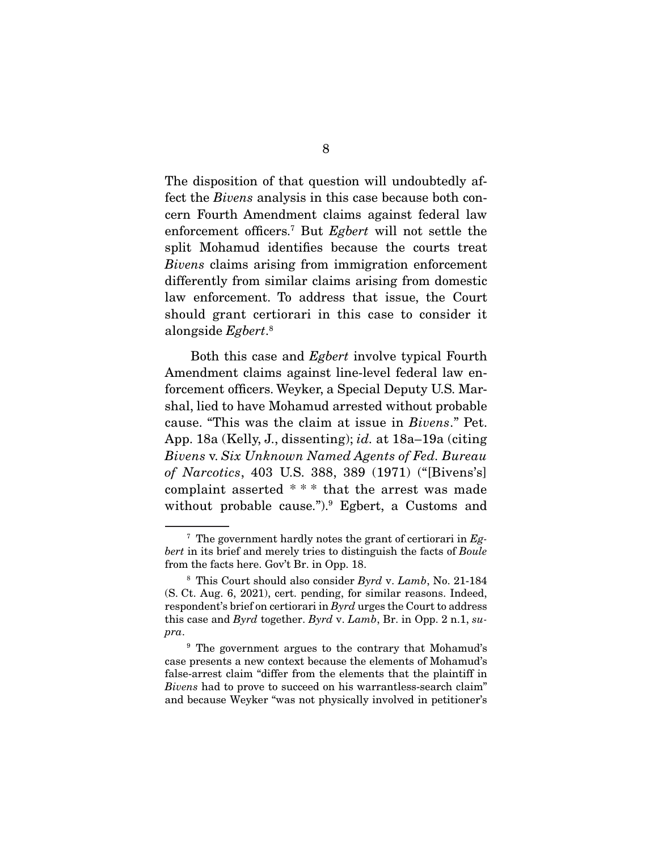The disposition of that question will undoubtedly affect the *Bivens* analysis in this case because both concern Fourth Amendment claims against federal law enforcement officers.7 But *Egbert* will not settle the split Mohamud identifies because the courts treat *Bivens* claims arising from immigration enforcement differently from similar claims arising from domestic law enforcement. To address that issue, the Court should grant certiorari in this case to consider it alongside *Egbert*. 8

 Both this case and *Egbert* involve typical Fourth Amendment claims against line-level federal law enforcement officers. Weyker, a Special Deputy U.S. Marshal, lied to have Mohamud arrested without probable cause. "This was the claim at issue in *Bivens*." Pet. App. 18a (Kelly, J., dissenting); *id.* at 18a–19a (citing *Bivens* v. *Six Unknown Named Agents of Fed. Bureau of Narcotics*, 403 U.S. 388, 389 (1971) ("[Bivens's] complaint asserted \* \* \* that the arrest was made without probable cause."). Egbert, a Customs and

<sup>7</sup> The government hardly notes the grant of certiorari in *Egbert* in its brief and merely tries to distinguish the facts of *Boule*  from the facts here. Gov't Br. in Opp. 18.

<sup>8</sup> This Court should also consider *Byrd* v. *Lamb*, No. 21-184 (S. Ct. Aug. 6, 2021), cert. pending, for similar reasons. Indeed, respondent's brief on certiorari in *Byrd* urges the Court to address this case and *Byrd* together. *Byrd* v. *Lamb*, Br. in Opp. 2 n.1, *supra*.

<sup>9</sup> The government argues to the contrary that Mohamud's case presents a new context because the elements of Mohamud's false-arrest claim "differ from the elements that the plaintiff in *Bivens* had to prove to succeed on his warrantless-search claim" and because Weyker "was not physically involved in petitioner's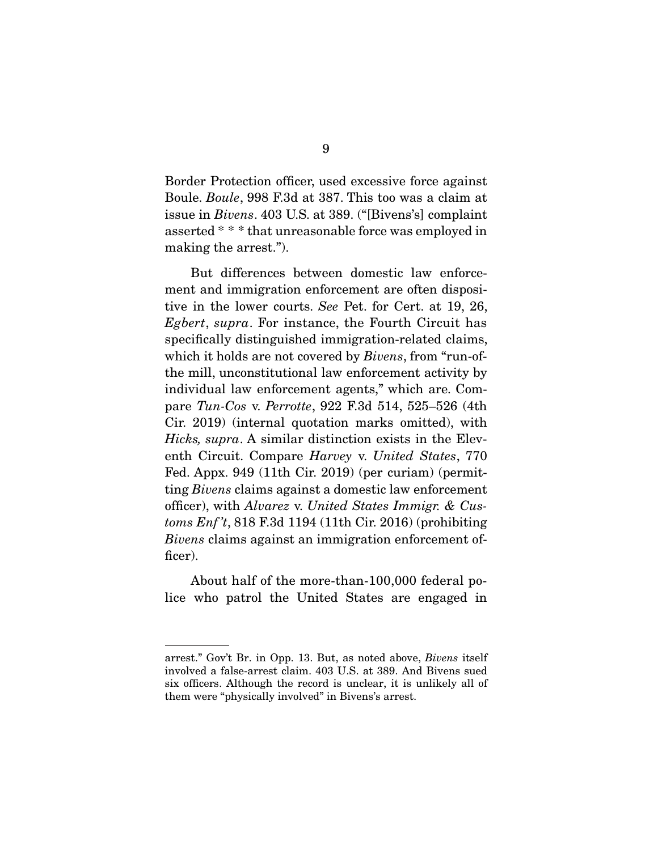Border Protection officer, used excessive force against Boule. *Boule*, 998 F.3d at 387. This too was a claim at issue in *Bivens*. 403 U.S. at 389. ("[Bivens's] complaint asserted \* \* \* that unreasonable force was employed in making the arrest.").

 But differences between domestic law enforcement and immigration enforcement are often dispositive in the lower courts. *See* Pet. for Cert. at 19, 26, *Egbert*, *supra*. For instance, the Fourth Circuit has specifically distinguished immigration-related claims, which it holds are not covered by *Bivens*, from "run-ofthe mill, unconstitutional law enforcement activity by individual law enforcement agents," which are. Compare *Tun-Cos* v. *Perrotte*, 922 F.3d 514, 525–526 (4th Cir. 2019) (internal quotation marks omitted), with *Hicks, supra*. A similar distinction exists in the Eleventh Circuit. Compare *Harvey* v. *United States*, 770 Fed. Appx. 949 (11th Cir. 2019) (per curiam) (permitting *Bivens* claims against a domestic law enforcement officer), with *Alvarez* v. *United States Immigr. & Customs Enf 't*, 818 F.3d 1194 (11th Cir. 2016) (prohibiting *Bivens* claims against an immigration enforcement officer).

 About half of the more-than-100,000 federal police who patrol the United States are engaged in

arrest." Gov't Br. in Opp. 13. But, as noted above, *Bivens* itself involved a false-arrest claim. 403 U.S. at 389. And Bivens sued six officers. Although the record is unclear, it is unlikely all of them were "physically involved" in Bivens's arrest.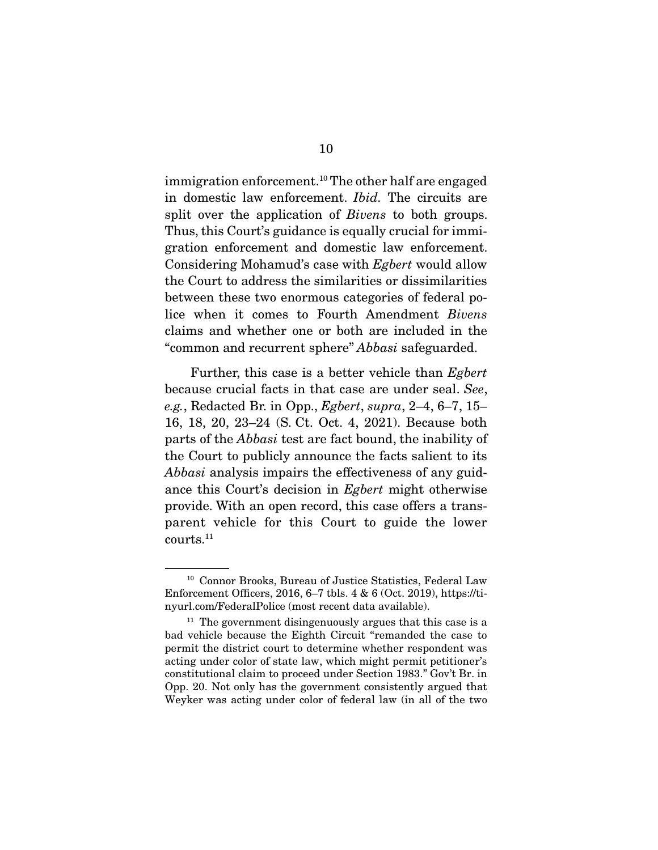immigration enforcement.10 The other half are engaged in domestic law enforcement. *Ibid.* The circuits are split over the application of *Bivens* to both groups. Thus, this Court's guidance is equally crucial for immigration enforcement and domestic law enforcement. Considering Mohamud's case with *Egbert* would allow the Court to address the similarities or dissimilarities between these two enormous categories of federal police when it comes to Fourth Amendment *Bivens*  claims and whether one or both are included in the "common and recurrent sphere" *Abbasi* safeguarded.

 Further, this case is a better vehicle than *Egbert*  because crucial facts in that case are under seal. *See*, *e.g.*, Redacted Br. in Opp., *Egbert*, *supra*, 2–4, 6–7, 15– 16, 18, 20, 23–24 (S. Ct. Oct. 4, 2021). Because both parts of the *Abbasi* test are fact bound, the inability of the Court to publicly announce the facts salient to its *Abbasi* analysis impairs the effectiveness of any guidance this Court's decision in *Egbert* might otherwise provide. With an open record, this case offers a transparent vehicle for this Court to guide the lower courts.11

<sup>&</sup>lt;sup>10</sup> Connor Brooks, Bureau of Justice Statistics, Federal Law Enforcement Officers, 2016, 6–7 tbls. 4 & 6 (Oct. 2019), https://tinyurl.com/FederalPolice (most recent data available).

 $11$  The government disingenuously argues that this case is a bad vehicle because the Eighth Circuit "remanded the case to permit the district court to determine whether respondent was acting under color of state law, which might permit petitioner's constitutional claim to proceed under Section 1983." Gov't Br. in Opp. 20. Not only has the government consistently argued that Weyker was acting under color of federal law (in all of the two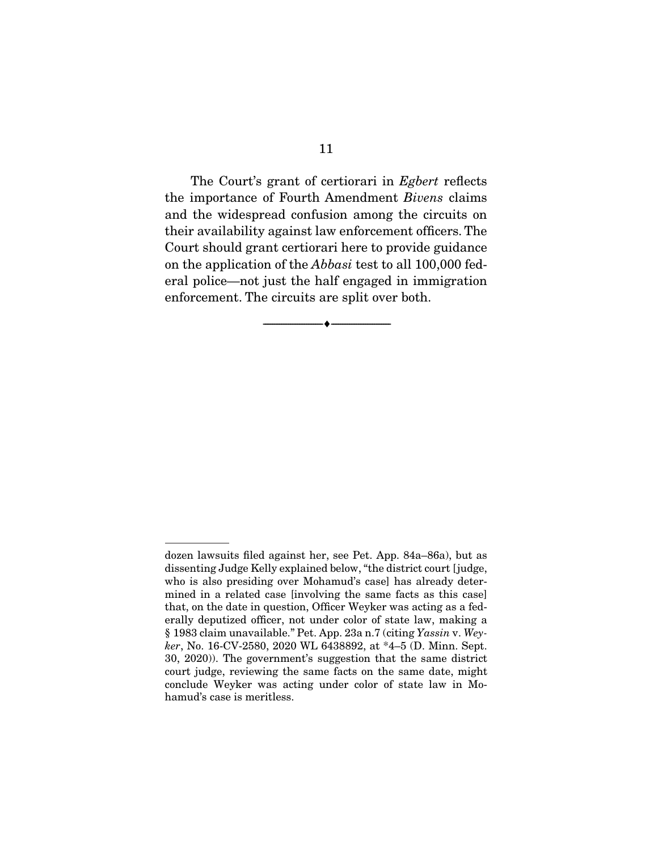The Court's grant of certiorari in *Egbert* reflects the importance of Fourth Amendment *Bivens* claims and the widespread confusion among the circuits on their availability against law enforcement officers. The Court should grant certiorari here to provide guidance on the application of the *Abbasi* test to all 100,000 federal police—not just the half engaged in immigration enforcement. The circuits are split over both.

 $\overbrace{\hspace{2.5cm}}^{\bullet}$   $\overbrace{\hspace{2.5cm}}^{\bullet}$ 

dozen lawsuits filed against her, see Pet. App. 84a–86a), but as dissenting Judge Kelly explained below, "the district court [judge, who is also presiding over Mohamud's case] has already determined in a related case [involving the same facts as this case] that, on the date in question, Officer Weyker was acting as a federally deputized officer, not under color of state law, making a § 1983 claim unavailable." Pet. App. 23a n.7 (citing *Yassin* v. *Weyker*, No. 16-CV-2580, 2020 WL 6438892, at \*4–5 (D. Minn. Sept. 30, 2020)). The government's suggestion that the same district court judge, reviewing the same facts on the same date, might conclude Weyker was acting under color of state law in Mohamud's case is meritless.